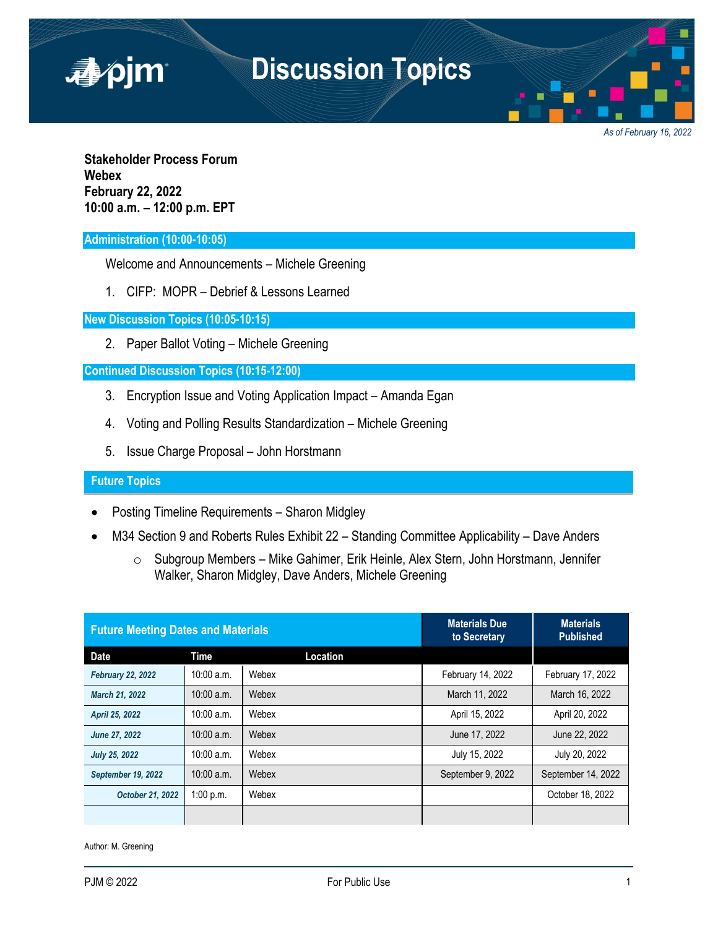

*As of February 16, 2022*

**Stakeholder Process Forum Webex February 22, 2022 10:00 a.m. – 12:00 p.m. EPT**

# **Administration (10:00-10:05)**

Welcome and Announcements – Michele Greening

1. CIFP: MOPR – Debrief & Lessons Learned

**New Discussion Topics (10:05-10:15)**

2. Paper Ballot Voting – Michele Greening

## **Continued Discussion Topics (10:15-12:00)**

- 3. Encryption Issue and Voting Application Impact Amanda Egan
- 4. Voting and Polling Results Standardization Michele Greening
- 5. Issue Charge Proposal John Horstmann

# **Future Topics**

- Posting Timeline Requirements Sharon Midgley
- M34 Section 9 and Roberts Rules Exhibit 22 Standing Committee Applicability Dave Anders
	- o Subgroup Members Mike Gahimer, Erik Heinle, Alex Stern, John Horstmann, Jennifer Walker, Sharon Midgley, Dave Anders, Michele Greening

| <b>Future Meeting Dates and Materials</b> |              |          | <b>Materials Due</b><br>to Secretary | <b>Materials</b><br><b>Published</b> |
|-------------------------------------------|--------------|----------|--------------------------------------|--------------------------------------|
| <b>Date</b>                               | Time         | Location |                                      |                                      |
| <b>February 22, 2022</b>                  | $10:00$ a.m. | Webex    | February 14, 2022                    | February 17, 2022                    |
| <b>March 21, 2022</b>                     | $10:00$ a.m. | Webex    | March 11, 2022                       | March 16, 2022                       |
| April 25, 2022                            | $10:00$ a.m. | Webex    | April 15, 2022                       | April 20, 2022                       |
| June 27, 2022                             | $10:00$ a.m. | Webex    | June 17, 2022                        | June 22, 2022                        |
| <b>July 25, 2022</b>                      | $10:00$ a.m. | Webex    | July 15, 2022                        | July 20, 2022                        |
| September 19, 2022                        | $10:00$ a.m. | Webex    | September 9, 2022                    | September 14, 2022                   |
| October 21, 2022                          | 1:00 p.m.    | Webex    |                                      | October 18, 2022                     |
|                                           |              |          |                                      |                                      |

Author: M. Greening